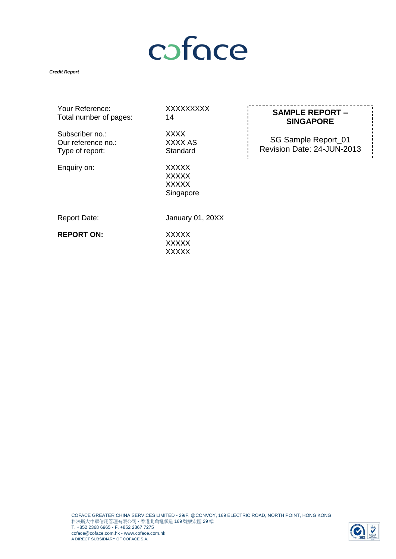# coface

#### *Credit Report*

| Your Reference:        | X) |
|------------------------|----|
| Total number of pages: | 14 |
| Subscriber no.:        | X) |

Our reference no.: XXXX AS<br>
Type of report: Standard Type of report:

XXXX<br>XXXX AS Enquiry on: XXXXX

**XXXXXXXX** 

XXXXX **XXXXX** Singapore **SAMPLE REPORT – SINGAPORE**

SG Sample Report\_01 Revision Date: 24-JUN-2013

Report Date: January 01, 20XX

**REPORT ON:** XXXXX

**XXXXX XXXXX** 

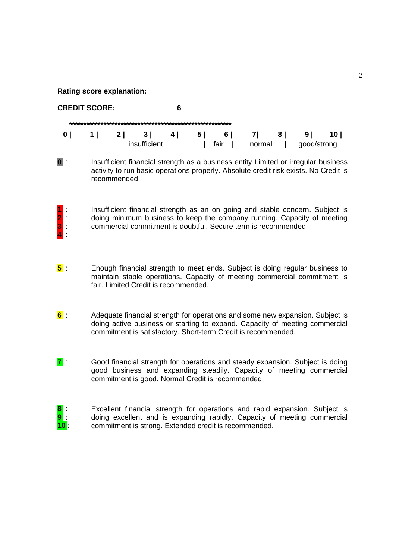**Rating score explanation:**

| <b>CREDIT SCORE:</b> |          |              |     |     |      |           |     |                |      |
|----------------------|----------|--------------|-----|-----|------|-----------|-----|----------------|------|
|                      |          |              |     |     |      |           |     |                |      |
| 1 I                  | $2 \mid$ | 31           | 4 I | 5 I | 6    | $\vert$ 7 | 8 I | 9 <sub>1</sub> | 10 I |
|                      |          | insufficient |     |     | fair | normal    |     | good/strong    |      |

**0** : Insufficient financial strength as a business entity Limited or irregular business activity to run basic operations properly. Absolute credit risk exists. No Credit is recommended

**1** : **2** : **3** : **4** :

Insufficient financial strength as an on going and stable concern. Subject is doing minimum business to keep the company running. Capacity of meeting commercial commitment is doubtful. Secure term is recommended.

- **5** : Enough financial strength to meet ends. Subject is doing regular business to maintain stable operations. Capacity of meeting commercial commitment is fair. Limited Credit is recommended.
- **6** : Adequate financial strength for operations and some new expansion. Subject is doing active business or starting to expand. Capacity of meeting commercial commitment is satisfactory. Short-term Credit is recommended.
- **7** : Good financial strength for operations and steady expansion. Subject is doing good business and expanding steadily. Capacity of meeting commercial commitment is good. Normal Credit is recommended.

| $\overline{\textbf{8}}$ : | Excellent financial strength for operations and rapid expansion. Subject is |
|---------------------------|-----------------------------------------------------------------------------|
| $9 \mid$                  | doing excellent and is expanding rapidly. Capacity of meeting commercial    |
| 10 <sub>1</sub>           | commitment is strong. Extended credit is recommended.                       |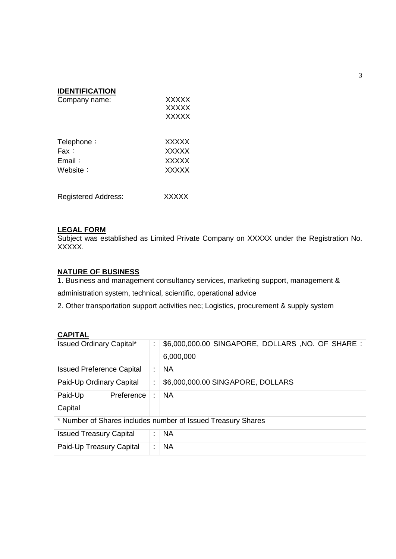| <b>IDENTIFICATION</b>      |              |  |  |
|----------------------------|--------------|--|--|
| Company name:              | <b>XXXXX</b> |  |  |
|                            | <b>XXXXX</b> |  |  |
|                            | <b>XXXXX</b> |  |  |
| Telephone:                 | <b>XXXXX</b> |  |  |
| Fax :                      | <b>XXXXX</b> |  |  |
| $E$ mail:                  | <b>XXXXX</b> |  |  |
| Website:                   | <b>XXXXX</b> |  |  |
|                            |              |  |  |
| <b>Registered Address:</b> | XXXXX        |  |  |

#### **LEGAL FORM**

Subject was established as Limited Private Company on XXXXX under the Registration No. XXXXX.

#### **NATURE OF BUSINESS**

1. Business and management consultancy services, marketing support, management & administration system, technical, scientific, operational advice

2. Other transportation support activities nec; Logistics, procurement & supply system

## **CAPITAL**

| <b>Issued Ordinary Capital*</b>  |   | \$6,000,000.00 SINGAPORE, DOLLARS, NO. OF SHARE :<br>6,000,000 |
|----------------------------------|---|----------------------------------------------------------------|
| <b>Issued Preference Capital</b> |   | <b>NA</b>                                                      |
| Paid-Up Ordinary Capital         | ÷ | \$6,000,000.00 SINGAPORE, DOLLARS                              |
| Paid-Up<br>Preference<br>Capital |   | <b>NA</b>                                                      |
|                                  |   | * Number of Shares includes number of Issued Treasury Shares   |
| <b>Issued Treasury Capital</b>   |   | <b>NA</b>                                                      |
| Paid-Up Treasury Capital         |   | <b>NA</b>                                                      |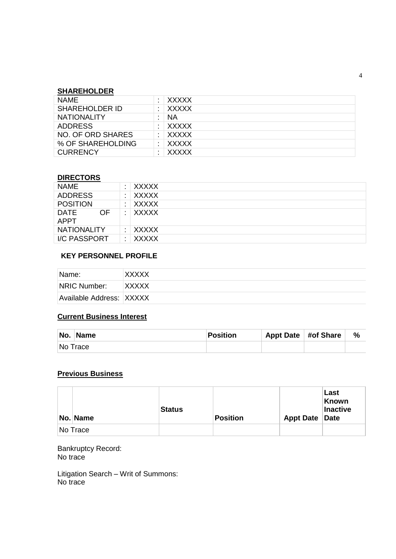## **SHAREHOLDER**

| <b>NAME</b>           | ٠ | XXXXX        |
|-----------------------|---|--------------|
| <b>SHAREHOLDER ID</b> |   | XXXXX        |
| <b>NATIONALITY</b>    |   | <b>NA</b>    |
| <b>ADDRESS</b>        |   | XXXXX        |
| NO. OF ORD SHARES     |   | XXXXX        |
| % OF SHAREHOLDING     |   | XXXXX        |
| <b>CURRENCY</b>       |   | <b>XXXXX</b> |

## **DIRECTORS**

| <b>NAME</b>                       | ٠ | <b>XXXXX</b> |
|-----------------------------------|---|--------------|
| <b>ADDRESS</b>                    |   | <b>XXXXX</b> |
| <b>POSITION</b>                   |   | <b>XXXXX</b> |
| OF.<br><b>DATE</b><br><b>APPT</b> |   | <b>XXXXX</b> |
| <b>NATIONALITY</b>                |   | <b>XXXXX</b> |
| I/C PASSPORT                      |   | <b>XXXXX</b> |

# **KEY PERSONNEL PROFILE**

| Name:                    | <b>XXXXX</b> |
|--------------------------|--------------|
| NRIC Number:             | <b>XXXXX</b> |
| Available Address: XXXXX |              |

# **Current Business Interest**

| No.      | <b>Name</b> | <b>Position</b> | Appt Date #of Share | $\%$ |
|----------|-------------|-----------------|---------------------|------|
| No Trace |             |                 |                     |      |

#### **Previous Business**

| No. Name | <b>Status</b> | Position | Appt Date Date | Last<br>Known<br>Inactive |
|----------|---------------|----------|----------------|---------------------------|
| No Trace |               |          |                |                           |

Bankruptcy Record: No trace

Litigation Search – Writ of Summons: No trace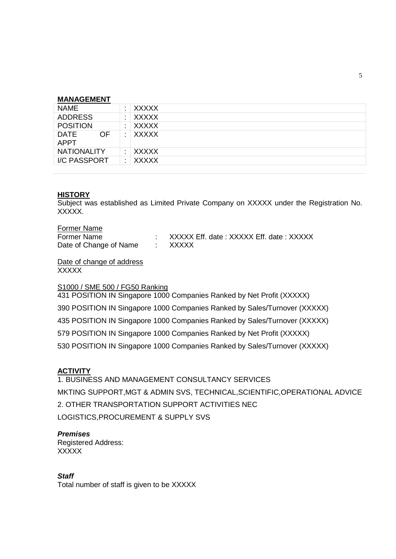#### **MANAGEMENT**

| <b>NAME</b>                       | <b>XXXXX</b> |
|-----------------------------------|--------------|
| <b>ADDRESS</b>                    | <b>XXXXX</b> |
| <b>POSITION</b>                   | <b>XXXXX</b> |
| <b>DATE</b><br>OF.<br><b>APPT</b> | <b>XXXXX</b> |
| <b>NATIONALITY</b>                | XXXXX        |
| I/C PASSPORT                      | <b>XXXXX</b> |
|                                   |              |

#### **HISTORY**

Subject was established as Limited Private Company on XXXXX under the Registration No. XXXXX.

#### Former Name

| Former Name            | XXXXX Eff. date: XXXXX Eff. date: XXXXX |
|------------------------|-----------------------------------------|
| Date of Change of Name | : XXXXX                                 |

Date of change of address **XXXXX** 

#### S1000 / SME 500 / FG50 Ranking

431 POSITION IN Singapore 1000 Companies Ranked by Net Profit (XXXXX) 390 POSITION IN Singapore 1000 Companies Ranked by Sales/Turnover (XXXXX) 435 POSITION IN Singapore 1000 Companies Ranked by Sales/Turnover (XXXXX) 579 POSITION IN Singapore 1000 Companies Ranked by Net Profit (XXXXX) 530 POSITION IN Singapore 1000 Companies Ranked by Sales/Turnover (XXXXX)

# **ACTIVITY**

1. BUSINESS AND MANAGEMENT CONSULTANCY SERVICES MKTING SUPPORT,MGT & ADMIN SVS, TECHNICAL,SCIENTIFIC,OPERATIONAL ADVICE 2. OTHER TRANSPORTATION SUPPORT ACTIVITIES NEC LOGISTICS,PROCUREMENT & SUPPLY SVS

#### *Premises*

Registered Address: XXXXX

#### *Staff*

Total number of staff is given to be XXXXX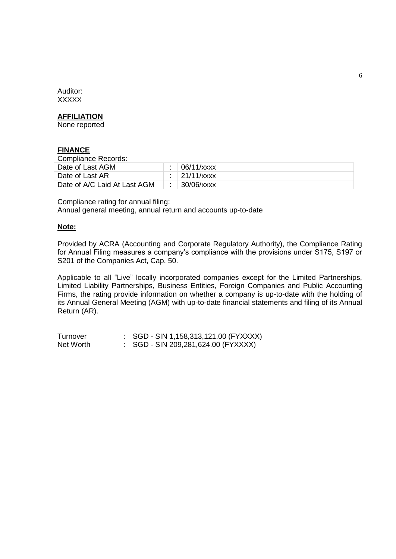Auditor: **XXXXX** 

## **AFFILIATION**

None reported

### **FINANCE**

Compliance Records:

| <b>COMPRETECT RECORDS.</b>   |  |                         |  |  |
|------------------------------|--|-------------------------|--|--|
| Date of Last AGM             |  | $\overline{06/11/xxxx}$ |  |  |
| Date of Last AR              |  | $: 21/11/x$ xxx         |  |  |
| Date of A/C Laid At Last AGM |  | 30/06/xxxx              |  |  |

Compliance rating for annual filing: Annual general meeting, annual return and accounts up-to-date

#### **Note:**

Provided by ACRA (Accounting and Corporate Regulatory Authority), the Compliance Rating for Annual Filing measures a company's compliance with the provisions under S175, S197 or S201 of the Companies Act, Cap. 50.

Applicable to all "Live" locally incorporated companies except for the Limited Partnerships, Limited Liability Partnerships, Business Entities, Foreign Companies and Public Accounting Firms, the rating provide information on whether a company is up-to-date with the holding of its Annual General Meeting (AGM) with up-to-date financial statements and filing of its Annual Return (AR).

Turnover : SGD - SIN 1,158,313,121.00 (FYXXXX) Net Worth : SGD - SIN 209,281,624.00 (FYXXXX)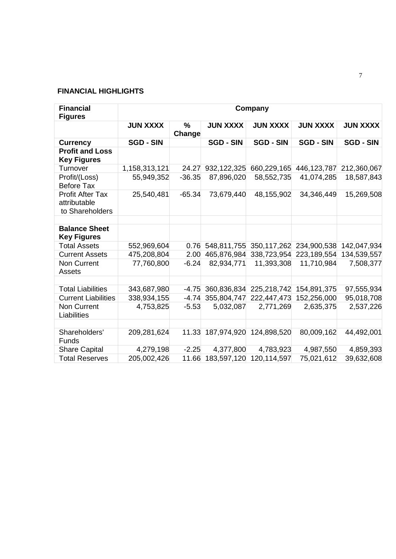# **FINANCIAL HIGHLIGHTS**

| <b>Financial</b><br><b>Figures</b>                         | Company          |                |                     |                  |                  |                  |
|------------------------------------------------------------|------------------|----------------|---------------------|------------------|------------------|------------------|
|                                                            | <b>JUN XXXX</b>  | $\%$<br>Change | <b>JUN XXXX</b>     | <b>JUN XXXX</b>  | <b>JUN XXXX</b>  | <b>JUN XXXX</b>  |
| <b>Currency</b>                                            | <b>SGD - SIN</b> |                | <b>SGD - SIN</b>    | <b>SGD - SIN</b> | <b>SGD - SIN</b> | <b>SGD - SIN</b> |
| <b>Profit and Loss</b><br><b>Key Figures</b>               |                  |                |                     |                  |                  |                  |
| Turnover                                                   | 1,158,313,121    | 24.27          | 932, 122, 325       | 660,229,165      | 446, 123, 787    | 212,360,067      |
| Profit/(Loss)<br><b>Before Tax</b>                         | 55,949,352       | $-36.35$       | 87,896,020          | 58,552,735       | 41,074,285       | 18,587,843       |
| <b>Profit After Tax</b><br>attributable<br>to Shareholders | 25,540,481       | $-65.34$       | 73,679,440          | 48,155,902       | 34,346,449       | 15,269,508       |
|                                                            |                  |                |                     |                  |                  |                  |
| <b>Balance Sheet</b><br><b>Key Figures</b>                 |                  |                |                     |                  |                  |                  |
| <b>Total Assets</b>                                        | 552,969,604      | 0.76           | 548,811,755         | 350,117,262      | 234,900,538      | 142,047,934      |
| <b>Current Assets</b>                                      | 475,208,804      | 2.00           | 465,876,984         | 338,723,954      | 223,189,554      | 134,539,557      |
| Non Current<br>Assets                                      | 77,760,800       | $-6.24$        | 82,934,771          | 11,393,308       | 11,710,984       | 7,508,377        |
|                                                            |                  |                |                     |                  |                  |                  |
| <b>Total Liabilities</b>                                   | 343,687,980      | $-4.75$        | 360,836,834         | 225,218,742      | 154,891,375      | 97,555,934       |
| <b>Current Liabilities</b>                                 | 338,934,155      |                | $-4.74$ 355,804,747 | 222,447,473      | 152,256,000      | 95,018,708       |
| Non Current<br>Liabilities                                 | 4,753,825        | $-5.53$        | 5,032,087           | 2,771,269        | 2,635,375        | 2,537,226        |
|                                                            |                  |                |                     |                  |                  |                  |
| Shareholders'<br><b>Funds</b>                              | 209,281,624      |                | 11.33 187,974,920   | 124,898,520      | 80,009,162       | 44,492,001       |
| <b>Share Capital</b>                                       | 4,279,198        | $-2.25$        | 4,377,800           | 4,783,923        | 4,987,550        | 4,859,393        |
| <b>Total Reserves</b>                                      | 205,002,426      | 11.66          | 183,597,120         | 120,114,597      | 75,021,612       | 39,632,608       |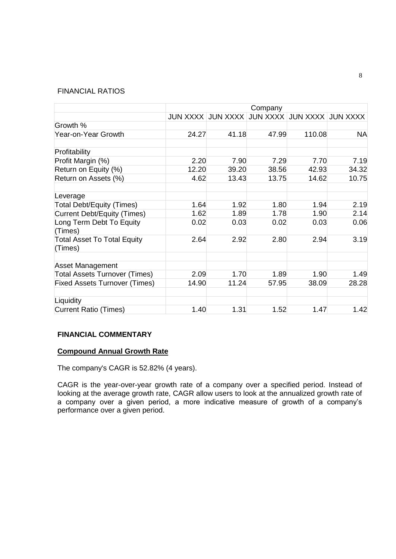#### FINANCIAL RATIOS

|                                               |       |       | Company |                                              |           |
|-----------------------------------------------|-------|-------|---------|----------------------------------------------|-----------|
|                                               |       |       |         | JUN XXXX JUN XXXX JUN XXXX JUN XXXX JUN XXXX |           |
| Growth %                                      |       |       |         |                                              |           |
| Year-on-Year Growth                           | 24.27 | 41.18 | 47.99   | 110.08                                       | <b>NA</b> |
| Profitability                                 |       |       |         |                                              |           |
| Profit Margin (%)                             | 2.20  | 7.90  | 7.29    | 7.70                                         | 7.19      |
| Return on Equity (%)                          | 12.20 | 39.20 | 38.56   | 42.93                                        | 34.32     |
| Return on Assets (%)                          | 4.62  | 13.43 | 13.75   | 14.62                                        | 10.75     |
| Leverage                                      |       |       |         |                                              |           |
| Total Debt/Equity (Times)                     | 1.64  | 1.92  | 1.80    | 1.94                                         | 2.19      |
| <b>Current Debt/Equity (Times)</b>            | 1.62  | 1.89  | 1.78    | 1.90                                         | 2.14      |
| Long Term Debt To Equity<br>(Times)           | 0.02  | 0.03  | 0.02    | 0.03                                         | 0.06      |
| <b>Total Asset To Total Equity</b><br>(Times) | 2.64  | 2.92  | 2.80    | 2.94                                         | 3.19      |
| <b>Asset Management</b>                       |       |       |         |                                              |           |
| <b>Total Assets Turnover (Times)</b>          | 2.09  | 1.70  | 1.89    | 1.90                                         | 1.49      |
| <b>Fixed Assets Turnover (Times)</b>          | 14.90 | 11.24 | 57.95   | 38.09                                        | 28.28     |
| Liquidity                                     |       |       |         |                                              |           |
| <b>Current Ratio (Times)</b>                  | 1.40  | 1.31  | 1.52    | 1.47                                         | 1.42      |

#### **FINANCIAL COMMENTARY**

#### **Compound Annual Growth Rate**

The company's CAGR is 52.82% (4 years).

CAGR is the year-over-year growth rate of a company over a specified period. Instead of looking at the average growth rate, CAGR allow users to look at the annualized growth rate of a company over a given period, a more indicative measure of growth of a company's performance over a given period.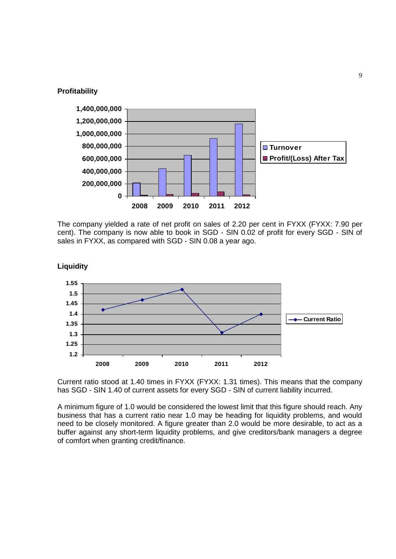

**Liquidity**



The company yielded a rate of net profit on sales of 2.20 per cent in FYXX (FYXX: 7.90 per cent). The company is now able to book in SGD - SIN 0.02 of profit for every SGD - SIN of sales in FYXX, as compared with SGD - SIN 0.08 a year ago.



Current ratio stood at 1.40 times in FYXX (FYXX: 1.31 times). This means that the company has SGD - SIN 1.40 of current assets for every SGD - SIN of current liability incurred.

A minimum figure of 1.0 would be considered the lowest limit that this figure should reach. Any business that has a current ratio near 1.0 may be heading for liquidity problems, and would need to be closely monitored. A figure greater than 2.0 would be more desirable, to act as a buffer against any short-term liquidity problems, and give creditors/bank managers a degree of comfort when granting credit/finance.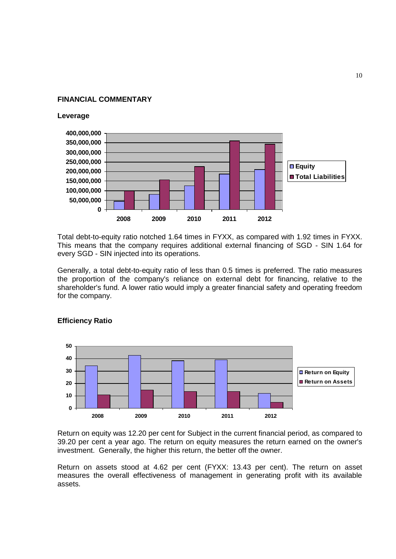#### **FINANCIAL COMMENTARY**

#### **Leverage**



Total debt-to-equity ratio notched 1.64 times in FYXX, as compared with 1.92 times in FYXX. This means that the company requires additional external financing of SGD - SIN 1.64 for every SGD - SIN injected into its operations.

Generally, a total debt-to-equity ratio of less than 0.5 times is preferred. The ratio measures the proportion of the company's reliance on external debt for financing, relative to the shareholder's fund. A lower ratio would imply a greater financial safety and operating freedom for the company.



#### **Efficiency Ratio**

Return on equity was 12.20 per cent for Subject in the current financial period, as compared to 39.20 per cent a year ago. The return on equity measures the return earned on the owner's investment. Generally, the higher this return, the better off the owner.

Return on assets stood at 4.62 per cent (FYXX: 13.43 per cent). The return on asset measures the overall effectiveness of management in generating profit with its available assets.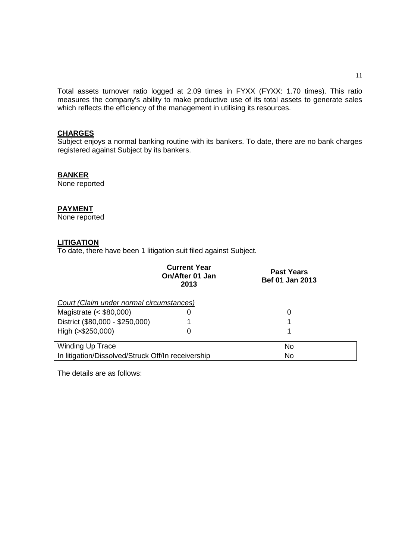Total assets turnover ratio logged at 2.09 times in FYXX (FYXX: 1.70 times). This ratio measures the company's ability to make productive use of its total assets to generate sales which reflects the efficiency of the management in utilising its resources.

## **CHARGES**

Subject enjoys a normal banking routine with its bankers. To date, there are no bank charges registered against Subject by its bankers.

#### **BANKER**

None reported

#### **PAYMENT**

None reported

## **LITIGATION**

To date, there have been 1 litigation suit filed against Subject.

|                                                    | <b>Current Year</b><br>On/After 01 Jan<br>2013 | <b>Past Years</b><br>Bef 01 Jan 2013 |  |  |  |
|----------------------------------------------------|------------------------------------------------|--------------------------------------|--|--|--|
| Court (Claim under normal circumstances)           |                                                |                                      |  |  |  |
| Magistrate $(<$ \$80,000)                          | O                                              | 0                                    |  |  |  |
| District (\$80,000 - \$250,000)                    |                                                |                                      |  |  |  |
| High (>\$250,000)                                  | 0                                              |                                      |  |  |  |
| <b>Winding Up Trace</b>                            |                                                | No                                   |  |  |  |
| In litigation/Dissolved/Struck Off/In receivership | No                                             |                                      |  |  |  |

The details are as follows: